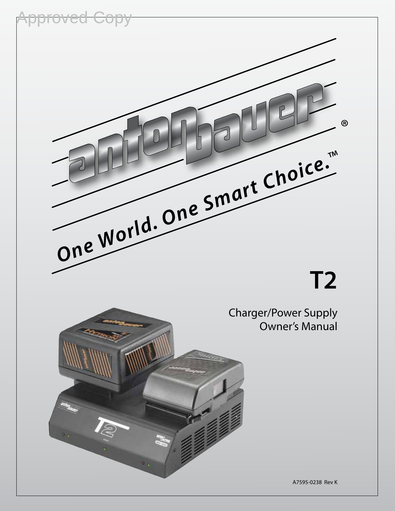

# **T2**

Charger/Power Supply Owner's Manual



A7595-0238 Rev K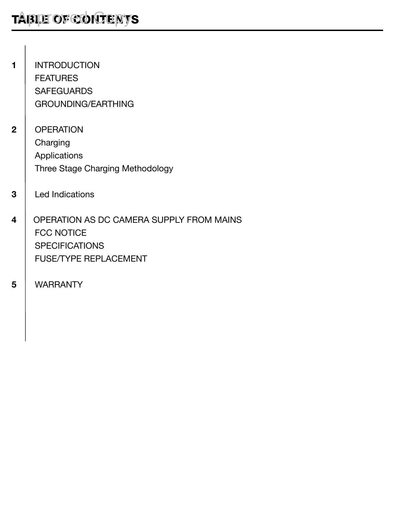- 1 | INTRODUCTION **FEATURES SAFEGUARDS** GROUNDING/EARTHING
- 2 | OPERATION Charging Applications Three Stage Charging Methodology
- 3 | Led Indications
- 4 | OPERATION AS DC CAMERA SUPPLY FROM MAINS FCC NOTICE **SPECIFICATIONS** FUSE/TYPE REPLACEMENT
- 5 WARRANTY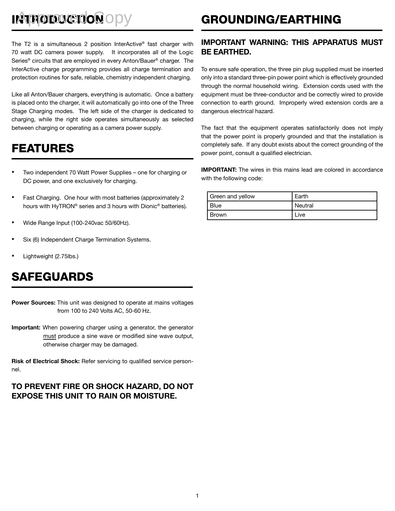# INTRODUCTION OPY

The T2 is a simultaneous 2 position InterActive® fast charger with 70 watt DC camera power supply. It incorporates all of the Logic Series® circuits that are employed in every Anton/Bauer® charger. The InterActive charge programming provides all charge termination and protection routines for safe, reliable, chemistry independent charging.

Like all Anton/Bauer chargers, everything is automatic. Once a battery is placed onto the charger, it will automatically go into one of the Three Stage Charging modes. The left side of the charger is dedicated to charging, while the right side operates simultaneously as selected between charging or operating as a camera power supply.

### FEATURES

- Two independent 70 Watt Power Supplies one for charging or DC power, and one exclusively for charging.
- Fast Charging. One hour with most batteries (approximately 2 hours with HyTRON® series and 3 hours with Dionic® batteries).
- Wide Range Input (100-240vac 50/60Hz).
- Six (6) Independent Charge Termination Systems.
- Lightweight (2.75lbs.)

### SAFEGUARDS

Power Sources: This unit was designed to operate at mains voltages from 100 to 240 Volts AC, 50-60 Hz.

Important: When powering charger using a generator, the generator must produce a sine wave or modified sine wave output, otherwise charger may be damaged.

Risk of Electrical Shock: Refer servicing to qualified service personnel.

### TO PREVENT FIRE OR SHOCK HAZARD, DO NOT EXPOSE THIS UNIT TO RAIN OR MOISTURE.

# GROUNDING/EARTHING

### IMPORTANT WARNING: THIS APPARATUS MUST BE EARTHED.

To ensure safe operation, the three pin plug supplied must be inserted only into a standard three-pin power point which is effectively grounded through the normal household wiring. Extension cords used with the equipment must be three-conductor and be correctly wired to provide connection to earth ground. Improperly wired extension cords are a dangerous electrical hazard.

The fact that the equipment operates satisfactorily does not imply that the power point is properly grounded and that the installation is completely safe. If any doubt exists about the correct grounding of the power point, consult a qualified electrician.

IMPORTANT: The wires in this mains lead are colored in accordance with the following code:

| Green and yellow | Earth            |
|------------------|------------------|
| I Blue           | <b>l</b> Neutral |
| l Brown          | Live             |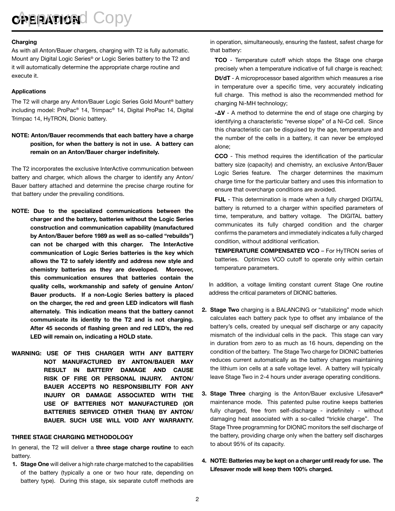**OPERATION** COPY

### Charging

As with all Anton/Bauer chargers, charging with T2 is fully automatic. Mount any Digital Logic Series® or Logic Series battery to the T2 and it will automatically determine the appropriate charge routine and execute it.

### Applications

The T2 will charge any Anton/Bauer Logic Series Gold Mount® battery including model: ProPac® 14, Trimpac® 14, Digital ProPac 14, Digital Trimpac 14, HyTRON, Dionic battery.

### NOTE: Anton/Bauer recommends that each battery have a charge position, for when the battery is not in use. A battery can remain on an Anton/Bauer charger indefinitely.

The T2 incorporates the exclusive InterActive communication between battery and charger, which allows the charger to identify any Anton/ Bauer battery attached and determine the precise charge routine for that battery under the prevailing conditions.

- NOTE: Due to the specialized communications between the charger and the battery, batteries without the Logic Series construction and communication capability (manufactured by Anton/Bauer before 1989 as well as so-called "rebuilds") can not be charged with this charger. The InterActive communication of Logic Series batteries is the key which allows the T2 to safely identify and address new style and chemistry batteries as they are developed. Moreover, this communication ensures that batteries contain the quality cells, workmanship and safety of genuine Anton/ Bauer products. If a non-Logic Series battery is placed on the charger, the red and green LED indicators will flash alternately. This indication means that the battery cannot communicate its identity to the T2 and is not charging. After 45 seconds of flashing green and red LED's, the red LED will remain on, indicating a HOLD state.
- WARNING: USE OF THIS CHARGER WITH ANY BATTERY NOT MANUFACTURED BY ANTON/BAUER MAY RESULT IN BATTERY DAMAGE AND CAUSE RISK OF FIRE OR PERSONAL INJURY. ANTON/ BAUER ACCEPTS NO RESPONSIBILITY FOR ANY INJURY OR DAMAGE ASSOCIATED WITH THE USE OF BATTERIES NOT MANUFACTURED (OR BATTERIES SERVICED OTHER THAN) BY ANTON/ BAUER. SUCH USE WILL VOID ANY WARRANTY.

### THREE STAGE CHARGING METHODOLOGY

In general, the T2 will deliver a three stage charge routine to each battery.

1. Stage One will deliver a high rate charge matched to the capabilities of the battery (typically a one or two hour rate, depending on battery type). During this stage, six separate cutoff methods are in operation, simultaneously, ensuring the fastest, safest charge for that battery:

TCO - Temperature cutoff which stops the Stage one charge precisely when a temperature indicative of full charge is reached;

Dt/dT - A microprocessor based algorithm which measures a rise in temperature over a specific time, very accurately indicating full charge. This method is also the recommended method for charging Ni-MH technology;

-∆V - A method to determine the end of stage one charging by identifying a characteristic "reverse slope" of a Ni-Cd cell. Since this characteristic can be disguised by the age, temperature and the number of the cells in a battery, it can never be employed alone;

CCO - This method requires the identification of the particular battery size (capacity) and chemistry, an exclusive Anton/Bauer Logic Series feature. The charger determines the maximum charge time for the particular battery and uses this information to ensure that overcharge conditions are avoided.

FUL - This determination is made when a fully charged DIGITAL battery is returned to a charger within specified parameters of time, temperature, and battery voltage. The DIGITAL battery communicates its fully charged condition and the charger confirms the parameters and immediately indicates a fully charged condition, without additional verification.

TEMPERATURE COMPENSATED VCO – For HyTRON series of batteries. Optimizes VCO cutoff to operate only within certain temperature parameters.

In addition, a voltage limiting constant current Stage One routine address the critical parameters of DIONIC batteries.

- 2. Stage Two charging is a BALANCING or "stabilizing" mode which calculates each battery pack type to offset any imbalance of the battery's cells, created by unequal self discharge or any capacity mismatch of the individual cells in the pack. This stage can vary in duration from zero to as much as 16 hours, depending on the condition of the battery. The Stage Two charge for DIONIC batteries reduces current automatically as the battery charges maintaining the lithium ion cells at a safe voltage level. A battery will typically leave Stage Two in 2-4 hours under average operating conditions.
- 3. Stage Three charging is the Anton/Bauer exclusive Lifesaver® maintenance mode. This patented pulse routine keeps batteries fully charged, free from self-discharge - indefinitely - without damaging heat associated with a so-called "trickle charge". The Stage Three programming for DIONIC monitors the self discharge of the battery, providing charge only when the battery self discharges to about 95% of its capacity.
- 4. NOTE: Batteries may be kept on a charger until ready for use. The Lifesaver mode will keep them 100% charged.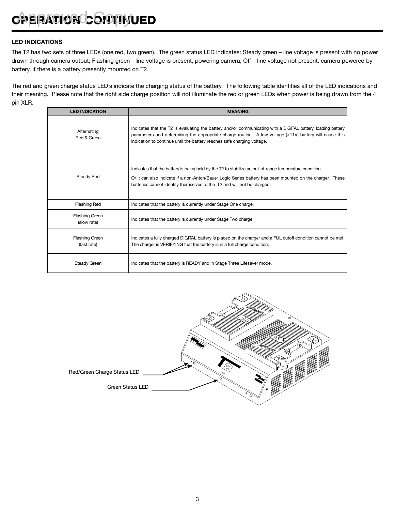### LED INDICATIONS

The T2 has two sets of three LEDs (one red, two green). The green status LED indicates: Steady green – line voltage is present with no power drawn through camera output; Flashing green - line voltage is present, powering camera; Off – line voltage not present, camera powered by battery, if there is a battery presently mounted on T2.

The red and green charge status LED's indicate the charging status of the battery. The following table identifies all of the LED indications and their meaning. Please note that the right side charge position will not illuminate the red or green LEDs when power is being drawn from the 4 pin XLR.

| <b>LED INDICATION</b>                | <b>MEANING</b>                                                                                                                                                                                                                                                                                     |
|--------------------------------------|----------------------------------------------------------------------------------------------------------------------------------------------------------------------------------------------------------------------------------------------------------------------------------------------------|
| Alternating<br>Red & Green           | Indicates that the T2 is evaluating the battery and/or communicating with a DIGITAL battery, loading battery<br>parameters and determining the appropriate charge routine. A low voltage (<11V) battery will cause this<br>indication to continue until the battery reaches safe charging voltage. |
| Steady Red                           | Indicates that the battery is being held by the T2 to stabilize an out-of-range temperature condition.<br>Or it can also indicate if a non-Anton/Bauer Logic Series battery has been mounted on the charger. These<br>batteries cannot identify themselves to the T2 and will not be charged.      |
| <b>Flashing Red</b>                  | Indicates that the battery is currently under Stage One charge.                                                                                                                                                                                                                                    |
| Flashing Green<br>(slow rate)        | Indicates that the battery is currently under Stage Two charge.                                                                                                                                                                                                                                    |
| <b>Flashing Green</b><br>(fast rate) | Indicates a fully charged DIGITAL battery is placed on the charger and a FUL cutoff condition cannot be met.<br>The charger is VERIFYING that the battery is in a full charge condition.                                                                                                           |
| Steady Green                         | Indicates that the battery is READY and in Stage Three Lifesaver mode.                                                                                                                                                                                                                             |

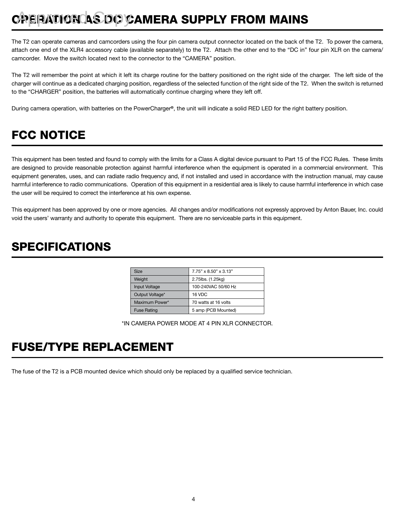# **OPERATION AS DC CAMERA SUPPLY FROM MAINS**

The T2 can operate cameras and camcorders using the four pin camera output connector located on the back of the T2. To power the camera, attach one end of the XLR4 accessory cable (available separately) to the T2. Attach the other end to the "DC in" four pin XLR on the camera/ camcorder. Move the switch located next to the connector to the "CAMERA" position.

The T2 will remember the point at which it left its charge routine for the battery positioned on the right side of the charger. The left side of the charger will continue as a dedicated charging position, regardless of the selected function of the right side of the T2. When the switch is returned to the "CHARGER" position, the batteries will automatically continue charging where they left off.

During camera operation, with batteries on the PowerCharger®, the unit will indicate a solid RED LED for the right battery position.

# FCC NOTICE

This equipment has been tested and found to comply with the limits for a Class A digital device pursuant to Part 15 of the FCC Rules. These limits are designed to provide reasonable protection against harmful interference when the equipment is operated in a commercial environment. This equipment generates, uses, and can radiate radio frequency and, if not installed and used in accordance with the instruction manual, may cause harmful interference to radio communications. Operation of this equipment in a residential area is likely to cause harmful interference in which case the user will be required to correct the interference at his own expense.

This equipment has been approved by one or more agencies. All changes and/or modifications not expressly approved by Anton Bauer, Inc. could void the users' warranty and authority to operate this equipment. There are no serviceable parts in this equipment.

### SPECIFICATIONS

| <b>Size</b>          | $7.75" \times 8.50" \times 3.13"$ |
|----------------------|-----------------------------------|
| Weight               | 2.75lbs. (1.25kg)                 |
| <b>Input Voltage</b> | 100-240VAC 50/60 Hz               |
| Output Voltage*      | 16 VDC                            |
| Maximum Power*       | 70 watts at 16 volts              |
| <b>Fuse Rating</b>   | 5 amp (PCB Mounted)               |

\*IN CAMERA POWER MODE AT 4 PIN XLR CONNECTOR.

### FUSE/TYPE REPLACEMENT

The fuse of the T2 is a PCB mounted device which should only be replaced by a qualified service technician.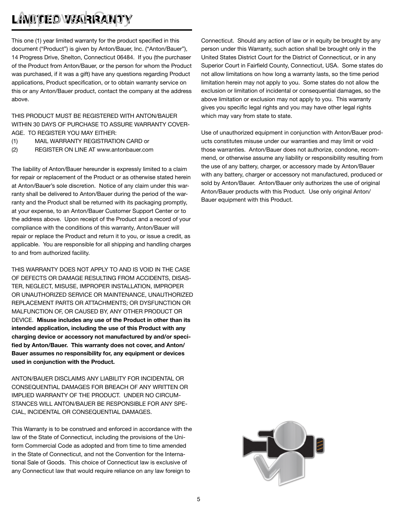# LAND DE O WARRANTY

This one (1) year limited warranty for the product specified in this document ("Product") is given by Anton/Bauer, Inc. ("Anton/Bauer"), 14 Progress Drive, Shelton, Connecticut 06484. If you (the purchaser of the Product from Anton/Bauer, or the person for whom the Product was purchased, if it was a gift) have any questions regarding Product applications, Product specification, or to obtain warranty service on this or any Anton/Bauer product, contact the company at the address above.

THIS PRODUCT MUST BE REGISTERED WITH ANTON/BAUER WITHIN 30 DAYS OF PURCHASE TO ASSURE WARRANTY COVER-AGE. TO REGISTER YOU MAY EITHER:

- (1) MAIL WARRANTY REGISTRATION CARD or
- (2) REGISTER ON LINE AT www.antonbauer.com

The liability of Anton/Bauer hereunder is expressly limited to a claim for repair or replacement of the Product or as otherwise stated herein at Anton/Bauer's sole discretion. Notice of any claim under this warranty shall be delivered to Anton/Bauer during the period of the warranty and the Product shall be returned with its packaging promptly, at your expense, to an Anton/Bauer Customer Support Center or to the address above. Upon receipt of the Product and a record of your compliance with the conditions of this warranty, Anton/Bauer will repair or replace the Product and return it to you, or issue a credit, as applicable. You are responsible for all shipping and handling charges to and from authorized facility.

THIS WARRANTY DOES NOT APPLY TO AND IS VOID IN THE CASE OF DEFECTS OR DAMAGE RESULTING FROM ACCIDENTS, DISAS-TER, NEGLECT, MISUSE, IMPROPER INSTALLATION, IMPROPER OR UNAUTHORIZED SERVICE OR MAINTENANCE, UNAUTHORIZED REPLACEMENT PARTS OR ATTACHMENTS; OR DYSFUNCTION OR MALFUNCTION OF, OR CAUSED BY, ANY OTHER PRODUCT OR DEVICE. Misuse includes any use of the Product in other than its intended application, including the use of this Product with any charging device or accessory not manufactured by and/or specified by Anton/Bauer. This warranty does not cover, and Anton/ Bauer assumes no responsibility for, any equipment or devices used in conjunction with the Product.

ANTON/BAUER DISCLAIMS ANY LIABILITY FOR INCIDENTAL OR CONSEQUENTIAL DAMAGES FOR BREACH OF ANY WRITTEN OR IMPLIED WARRANTY OF THE PRODUCT. UNDER NO CIRCUM-STANCES WILL ANTON/BAUER BE RESPONSIBLE FOR ANY SPE-CIAL, INCIDENTAL OR CONSEQUENTIAL DAMAGES.

This Warranty is to be construed and enforced in accordance with the law of the State of Connecticut, including the provisions of the Uniform Commercial Code as adopted and from time to time amended in the State of Connecticut, and not the Convention for the International Sale of Goods. This choice of Connecticut law is exclusive of any Connecticut law that would require reliance on any law foreign to

Connecticut. Should any action of law or in equity be brought by any person under this Warranty, such action shall be brought only in the United States District Court for the District of Connecticut, or in any Superior Court in Fairfield County, Connecticut, USA. Some states do not allow limitations on how long a warranty lasts, so the time period limitation herein may not apply to you. Some states do not allow the exclusion or limitation of incidental or consequential damages, so the above limitation or exclusion may not apply to you. This warranty gives you specific legal rights and you may have other legal rights which may vary from state to state.

Use of unauthorized equipment in conjunction with Anton/Bauer products constitutes misuse under our warranties and may limit or void those warranties. Anton/Bauer does not authorize, condone, recommend, or otherwise assume any liability or responsibility resulting from the use of any battery, charger, or accessory made by Anton/Bauer with any battery, charger or accessory not manufactured, produced or sold by Anton/Bauer. Anton/Bauer only authorizes the use of original Anton/Bauer products with this Product. Use only original Anton/ Bauer equipment with this Product.